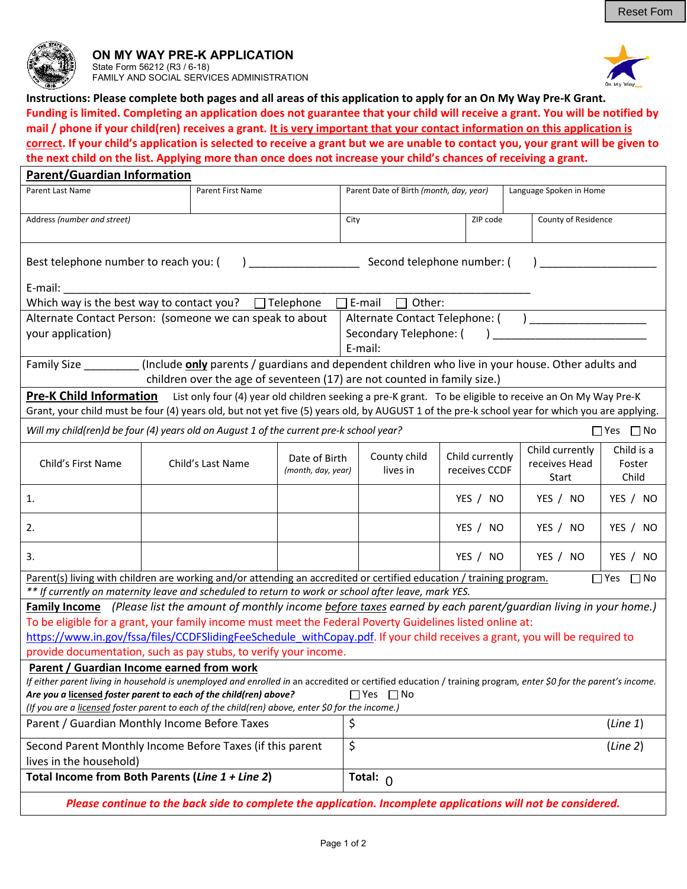

## **ON MY WAY PRE-K APPLICATION**  State Form 56212 (R3 / 6-18) FAMILY AND SOCIAL SERVICES ADMINISTRATION



**Instructions: Please complete both pages and all areas of this application to apply for an On My Way Pre‐K Grant. Funding is limited. Completing an application does not guarantee that your child will receive a grant. You will be notified by mail / phone if your child(ren) receives a grant. It is very important that your contact information on this application is correct. If your child's application is selected to receive a grant but we are unable to contact you, your grant will be given to the next child on the list. Applying more than once does not increase your child's chances of receiving a grant.** 

| <b>Parent/Guardian Information</b>                                                                                                                                                                                                                                                           |                          |                   |                                                                    |                            |                 |                     |                 |            |  |
|----------------------------------------------------------------------------------------------------------------------------------------------------------------------------------------------------------------------------------------------------------------------------------------------|--------------------------|-------------------|--------------------------------------------------------------------|----------------------------|-----------------|---------------------|-----------------|------------|--|
| Parent Last Name                                                                                                                                                                                                                                                                             | <b>Parent First Name</b> |                   | Parent Date of Birth (month, day, year)<br>Language Spoken in Home |                            |                 |                     |                 |            |  |
| Address (number and street)                                                                                                                                                                                                                                                                  |                          |                   | City                                                               | ZIP code                   |                 | County of Residence |                 |            |  |
| Best telephone number to reach you: (                                                                                                                                                                                                                                                        |                          |                   |                                                                    | Second telephone number: ( |                 |                     |                 |            |  |
| E-mail:                                                                                                                                                                                                                                                                                      |                          |                   |                                                                    |                            |                 |                     |                 |            |  |
| Which way is the best way to contact you?<br>$\Box$ Telephone<br>Other:<br>□E-mail                                                                                                                                                                                                           |                          |                   |                                                                    |                            |                 |                     |                 |            |  |
| Alternate Contact Telephone: (<br>Alternate Contact Person: (someone we can speak to about                                                                                                                                                                                                   |                          |                   |                                                                    |                            |                 |                     |                 |            |  |
| your application)                                                                                                                                                                                                                                                                            |                          |                   |                                                                    | Secondary Telephone: (     |                 |                     |                 |            |  |
|                                                                                                                                                                                                                                                                                              |                          |                   |                                                                    | E-mail:                    |                 |                     |                 |            |  |
| (Include only parents / guardians and dependent children who live in your house. Other adults and                                                                                                                                                                                            |                          |                   |                                                                    |                            |                 |                     |                 |            |  |
| children over the age of seventeen (17) are not counted in family size.)                                                                                                                                                                                                                     |                          |                   |                                                                    |                            |                 |                     |                 |            |  |
| <b>Pre-K Child Information</b><br>List only four (4) year old children seeking a pre-K grant. To be eligible to receive an On My Way Pre-K<br>Grant, your child must be four (4) years old, but not yet five (5) years old, by AUGUST 1 of the pre-k school year for which you are applying. |                          |                   |                                                                    |                            |                 |                     |                 |            |  |
| Will my child(ren)d be four (4) years old on August 1 of the current pre-k school year?<br>$\Box$ Yes $\Box$ No                                                                                                                                                                              |                          |                   |                                                                    |                            |                 |                     |                 |            |  |
|                                                                                                                                                                                                                                                                                              |                          |                   |                                                                    |                            |                 |                     | Child currently | Child is a |  |
| Child's First Name                                                                                                                                                                                                                                                                           |                          | Child's Last Name | Date of Birth                                                      | County child               | Child currently |                     | receives Head   | Foster     |  |
|                                                                                                                                                                                                                                                                                              |                          |                   | (month, day, year)                                                 | lives in                   | receives CCDF   |                     | Start           | Child      |  |
| 1.                                                                                                                                                                                                                                                                                           |                          |                   |                                                                    |                            | YES / NO        |                     | YES / NO        | YES / NO   |  |
| 2.                                                                                                                                                                                                                                                                                           |                          |                   |                                                                    |                            | YES / NO        |                     | YES / NO        | YES / NO   |  |
| 3.                                                                                                                                                                                                                                                                                           |                          |                   |                                                                    |                            | YES / NO        |                     | YES / NO        | YES / NO   |  |
| Parent(s) living with children are working and/or attending an accredited or certified education / training program.<br>$\Box$ Yes $\Box$ No                                                                                                                                                 |                          |                   |                                                                    |                            |                 |                     |                 |            |  |
| ** If currently on maternity leave and scheduled to return to work or school after leave, mark YES.                                                                                                                                                                                          |                          |                   |                                                                    |                            |                 |                     |                 |            |  |
| <b>Family Income</b> (Please list the amount of monthly income before taxes earned by each parent/guardian living in your home.)                                                                                                                                                             |                          |                   |                                                                    |                            |                 |                     |                 |            |  |
| To be eligible for a grant, your family income must meet the Federal Poverty Guidelines listed online at:                                                                                                                                                                                    |                          |                   |                                                                    |                            |                 |                     |                 |            |  |
| https://www.in.gov/fssa/files/CCDFSlidingFeeSchedule withCopay.pdf. If your child receives a grant, you will be required to                                                                                                                                                                  |                          |                   |                                                                    |                            |                 |                     |                 |            |  |
| provide documentation, such as pay stubs, to verify your income.                                                                                                                                                                                                                             |                          |                   |                                                                    |                            |                 |                     |                 |            |  |
| Parent / Guardian Income earned from work<br>If either parent living in household is unemployed and enrolled in an accredited or certified education / training program, enter \$0 for the parent's income.                                                                                  |                          |                   |                                                                    |                            |                 |                     |                 |            |  |
| Are you a licensed foster parent to each of the child(ren) above?<br>$\Box$ Yes $\Box$ No                                                                                                                                                                                                    |                          |                   |                                                                    |                            |                 |                     |                 |            |  |
| (If you are a licensed foster parent to each of the child(ren) above, enter \$0 for the income.)                                                                                                                                                                                             |                          |                   |                                                                    |                            |                 |                     |                 |            |  |
| Parent / Guardian Monthly Income Before Taxes                                                                                                                                                                                                                                                | \$                       |                   |                                                                    |                            | (Line 1)        |                     |                 |            |  |
| Second Parent Monthly Income Before Taxes (if this parent                                                                                                                                                                                                                                    | \$                       |                   |                                                                    |                            | (Line 2)        |                     |                 |            |  |
| lives in the household)                                                                                                                                                                                                                                                                      |                          |                   |                                                                    |                            |                 |                     |                 |            |  |
| Total Income from Both Parents (Line 1 + Line 2)                                                                                                                                                                                                                                             |                          |                   |                                                                    | Total: $_0$                |                 |                     |                 |            |  |
| Please continue to the back side to complete the application. Incomplete applications will not be considered.                                                                                                                                                                                |                          |                   |                                                                    |                            |                 |                     |                 |            |  |